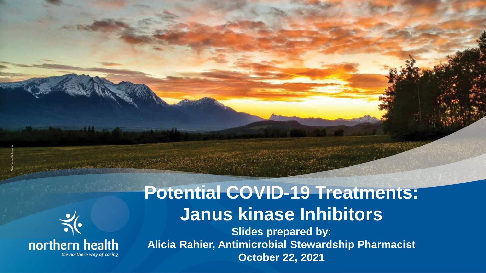

#### **Potential COVID-19 Treatments: Janus kinase Inhibitors Slides prepared by: Alicia Rahier, Antimicrobial Stewardship Pharmacist October 22, 2021**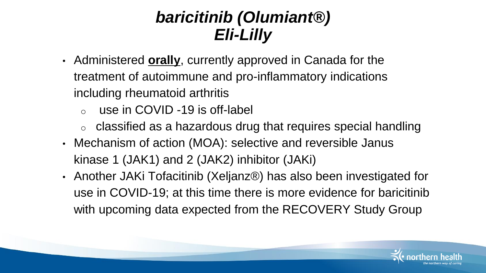#### *baricitinib (Olumiant®) Eli-Lilly*

- Administered **orally**, currently approved in Canada for the treatment of autoimmune and pro-inflammatory indications including rheumatoid arthritis
	- o use in COVID -19 is off-label
	- $\circ$  classified as a hazardous drug that requires special handling
- Mechanism of action (MOA): selective and reversible Janus kinase 1 (JAK1) and 2 (JAK2) inhibitor (JAKi)
- Another JAKi Tofacitinib (Xeljanz®) has also been investigated for use in COVID-19; at this time there is more evidence for baricitinib with upcoming data expected from the RECOVERY Study Group

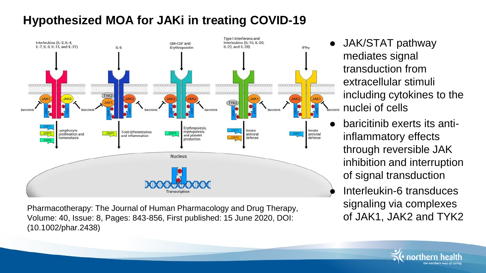#### **Hypothesized MOA for JAKi in treating COVID-19**



Pharmacotherapy: The Journal of Human Pharmacology and Drug Therapy, Volume: 40, Issue: 8, Pages: 843-856, First published: 15 June 2020, DOI: (10.1002/phar.2438)

- JAK/STAT pathway mediates signal transduction from extracellular stimuli including cytokines to the **E**aricitinib **nuclei** of cells
- baricitinib exerts its antiinflammatory effects through reversible JAK inhibition and interruption of signal transduction
- Interleukin-6 transduces signaling via complexes of JAK1, JAK2 and TYK2

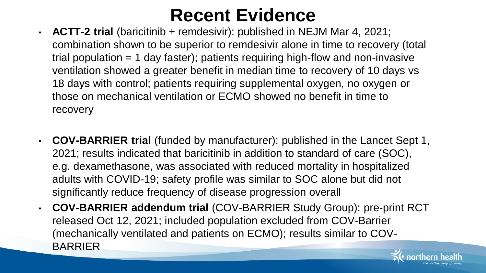### **Recent Evidence**

- **ACTT-2 trial** (baricitinib + remdesivir): published in NEJM Mar 4, 2021; combination shown to be superior to remdesivir alone in time to recovery (total trial population  $= 1$  day faster); patients requiring high-flow and non-invasive ventilation showed a greater benefit in median time to recovery of 10 days vs 18 days with control; patients requiring supplemental oxygen, no oxygen or those on mechanical ventilation or ECMO showed no benefit in time to recovery
- **COV-BARRIER trial** (funded by manufacturer): published in the Lancet Sept 1, 2021; results indicated that baricitinib in addition to standard of care (SOC), e.g. dexamethasone, was associated with reduced mortality in hospitalized adults with COVID-19; safety profile was similar to SOC alone but did not significantly reduce frequency of disease progression overall
- **COV-BARRIER addendum trial** (COV-BARRIER Study Group): pre-print RCT released Oct 12, 2021; included population excluded from COV-Barrier (mechanically ventilated and patients on ECMO); results similar to COV-**BARRIER**

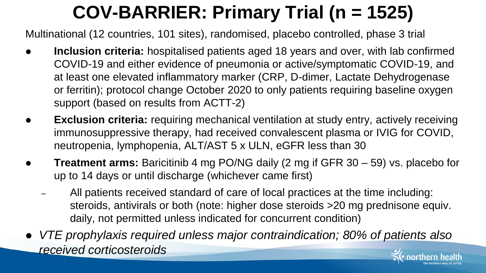# **COV-BARRIER: Primary Trial (n = 1525)**

Multinational (12 countries, 101 sites), randomised, placebo controlled, phase 3 trial

- **Inclusion criteria:** hospitalised patients aged 18 years and over, with lab confirmed COVID-19 and either evidence of pneumonia or active/symptomatic COVID-19, and at least one elevated inflammatory marker (CRP, D-dimer, Lactate Dehydrogenase or ferritin); protocol change October 2020 to only patients requiring baseline oxygen support (based on results from ACTT-2)
- **Exclusion criteria:** requiring mechanical ventilation at study entry, actively receiving immunosuppressive therapy, had received convalescent plasma or IVIG for COVID, neutropenia, lymphopenia, ALT/AST 5 x ULN, eGFR less than 30
- **Treatment arms:** Baricitinib 4 mg PO/NG daily (2 mg if GFR 30 59) vs. placebo for up to 14 days or until discharge (whichever came first)
	- All patients received standard of care of local practices at the time including: steroids, antivirals or both (note: higher dose steroids >20 mg prednisone equiv. daily, not permitted unless indicated for concurrent condition)
- *VTE prophylaxis required unless major contraindication; 80% of patients also received corticosteroids*

*the northern way of caring*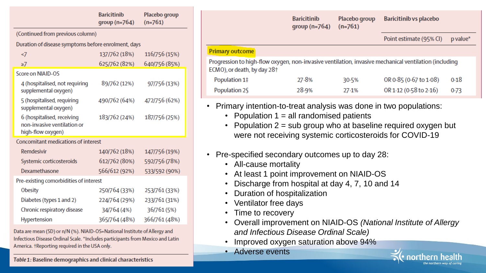| <b>Baricitinib</b><br>group $(n=764)$               | Placebo group<br>$(n=761)$ |  |  |  |  |
|-----------------------------------------------------|----------------------------|--|--|--|--|
| (Continued from previous column)                    |                            |  |  |  |  |
| Duration of disease symptoms before enrolment, days |                            |  |  |  |  |
| 137/762 (18%)                                       | 116/756 (15%)              |  |  |  |  |
| 625/762 (82%)                                       | 640/756 (85%)              |  |  |  |  |
|                                                     |                            |  |  |  |  |
| 89/762 (12%)                                        | 97/756 (13%)               |  |  |  |  |
| 490/762 (64%)                                       | 472/756 (62%)              |  |  |  |  |
| 183/762 (24%)                                       | 187/756 (25%)              |  |  |  |  |
| <b>Concomitant medications of interest</b>          |                            |  |  |  |  |
| 140/762 (18%)                                       | 147/756 (19%)              |  |  |  |  |
| 612/762 (80%)                                       | 592/756 (78%)              |  |  |  |  |
| 566/612 (92%)                                       | 533/592 (90%)              |  |  |  |  |
| Pre-existing comorbidities of interest              |                            |  |  |  |  |
| 250/764 (33%)                                       | 253/761 (33%)              |  |  |  |  |
| 224/764 (29%)                                       | 233/761 (31%)              |  |  |  |  |
| 34/764 (4%)                                         | 36/761 (5%)                |  |  |  |  |
| 365/764 (48%)                                       | 366/761 (48%)              |  |  |  |  |
|                                                     |                            |  |  |  |  |

Data are mean (SD) or n/N (%). NIAID-OS=National Institute of Allergy and Infectious Disease Ordinal Scale. \*Includes participants from Mexico and Latin America. †Reporting required in the USA only.

Table 1: Baseline demographics and clinical characteristics

|                                                                                                                                                  | <b>Baricitinib</b><br>$qroup (n=764)$ | Placebo group<br>$(n=761)$ | Baricitinib vs placebo  |            |  |
|--------------------------------------------------------------------------------------------------------------------------------------------------|---------------------------------------|----------------------------|-------------------------|------------|--|
|                                                                                                                                                  |                                       |                            | Point estimate (95% CI) | $p$ value* |  |
| <b>Primary outcome</b>                                                                                                                           |                                       |                            |                         |            |  |
| Progression to high-flow oxygen, non-invasive ventilation, invasive mechanical ventilation (including<br>ECMO), or death, by day 28 <sup>+</sup> |                                       |                            |                         |            |  |
| Population 1‡                                                                                                                                    | 27.8%                                 | 30.5%                      | OR 0.85 (0.67 to 1.08)  | 0.18       |  |
| Population 2§                                                                                                                                    | 28.9%                                 | 27.1%                      | OR 1.12 (0.58 to 2.16)  | 0.73       |  |
|                                                                                                                                                  |                                       |                            |                         |            |  |

- Primary intention-to-treat analysis was done in two populations:
	- Population  $1 = all$  randomised patients
	- Population  $2 = sub$  group who at baseline required oxygen but were not receiving systemic corticosteroids for COVID-19
- Pre-specified secondary outcomes up to day 28:
	- All-cause mortality

 $\overline{P}$ 

- At least 1 point improvement on NIAID-OS
- Discharge from hospital at day 4, 7, 10 and 14
- Duration of hospitalization
- Ventilator free days
- Time to recovery
- Overall improvement on NIAID-OS *(National Institute of Allergy and Infectious Disease Ordinal Scale)*
- Improved oxygen saturation above 94%
- Adverse events

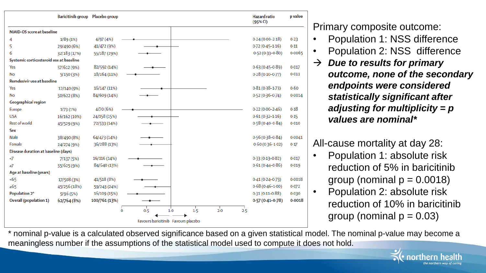

Primary composite outcome:

- Population 1: NSS difference
- Population 2: NSS difference
- *Due to results for primary outcome, none of the secondary endpoints were considered statistically significant after adjusting for multiplicity = p values are nominal\**

#### All-cause mortality at day 28:

- Population 1: absolute risk reduction of 5% in baricitinib group (nominal  $p = 0.0018$ )
- Population 2: absolute risk reduction of 10% in baricitinib group (nominal  $p = 0.03$ )

*the northern way of caring*

\* nominal p-value is a calculated observed significance based on a given statistical model. The nominal p-value may become a meaningless number if the assumptions of the statistical model used to compute it does not hold.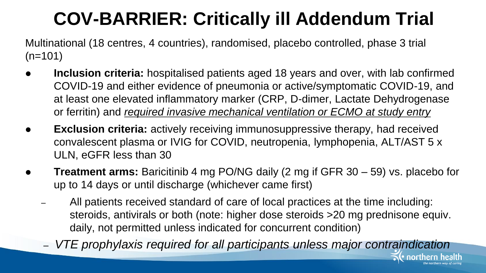### **COV-BARRIER: Critically ill Addendum Trial**

Multinational (18 centres, 4 countries), randomised, placebo controlled, phase 3 trial  $(n=101)$ 

- **Inclusion criteria:** hospitalised patients aged 18 years and over, with lab confirmed COVID-19 and either evidence of pneumonia or active/symptomatic COVID-19, and at least one elevated inflammatory marker (CRP, D-dimer, Lactate Dehydrogenase or ferritin) and *required invasive mechanical ventilation or ECMO at study entry*
- **Exclusion criteria:** actively receiving immunosuppressive therapy, had received convalescent plasma or IVIG for COVID, neutropenia, lymphopenia, ALT/AST 5 x ULN, eGFR less than 30
- **Treatment arms:** Baricitinib 4 mg PO/NG daily (2 mg if GFR 30 59) vs. placebo for up to 14 days or until discharge (whichever came first)
	- All patients received standard of care of local practices at the time including: steroids, antivirals or both (note: higher dose steroids >20 mg prednisone equiv. daily, not permitted unless indicated for concurrent condition)
	- *VTE prophylaxis required for all participants unless major contraindication*

*the northern way of caring*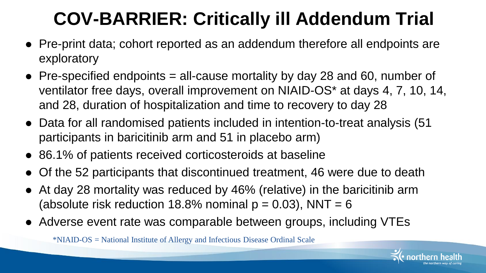# **COV-BARRIER: Critically ill Addendum Trial**

- Pre-print data; cohort reported as an addendum therefore all endpoints are exploratory
- $\bullet$  Pre-specified endpoints = all-cause mortality by day 28 and 60, number of ventilator free days, overall improvement on NIAID-OS\* at days 4, 7, 10, 14, and 28, duration of hospitalization and time to recovery to day 28
- Data for all randomised patients included in intention-to-treat analysis (51 participants in baricitinib arm and 51 in placebo arm)
- 86.1% of patients received corticosteroids at baseline
- Of the 52 participants that discontinued treatment, 46 were due to death
- At day 28 mortality was reduced by 46% (relative) in the baricitinib arm (absolute risk reduction 18.8% nominal  $p = 0.03$ ), NNT = 6
- Adverse event rate was comparable between groups, including VTEs

\*NIAID-OS = National Institute of Allergy and Infectious Disease Ordinal Scale

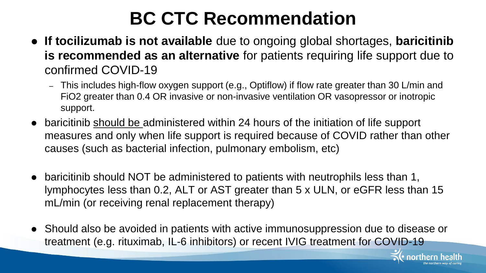### **BC CTC Recommendation**

- **If tocilizumab is not available** due to ongoing global shortages, **baricitinib is recommended as an alternative** for patients requiring life support due to confirmed COVID-19
	- This includes high-flow oxygen support (e.g., Optiflow) if flow rate greater than 30 L/min and FiO2 greater than 0.4 OR invasive or non-invasive ventilation OR vasopressor or inotropic support.
- baricitinib should be administered within 24 hours of the initiation of life support measures and only when life support is required because of COVID rather than other causes (such as bacterial infection, pulmonary embolism, etc)
- baricitinib should NOT be administered to patients with neutrophils less than 1, lymphocytes less than 0.2, ALT or AST greater than 5 x ULN, or eGFR less than 15 mL/min (or receiving renal replacement therapy)
- Should also be avoided in patients with active immunosuppression due to disease or treatment (e.g. rituximab, IL-6 inhibitors) or recent IVIG treatment for COVID-19

*the northern way of caring*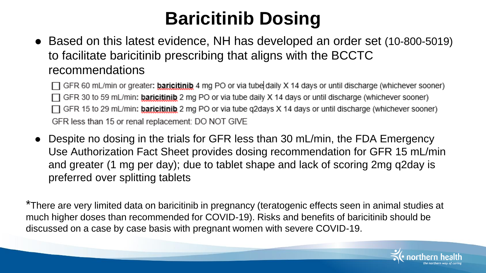### **Baricitinib Dosing**

• Based on this latest evidence, NH has developed an order set (10-800-5019) to facilitate baricitinib prescribing that aligns with the BCCTC recommendations

 $\Box$  GFR 60 mL/min or greater: **baricitinib** 4 mg PO or via tube daily X 14 days or until discharge (whichever sooner)  $\Box$  GFR 30 to 59 mL/min: **baricitinib** 2 mg PO or via tube daily X 14 days or until discharge (whichever sooner)  $\Box$  GFR 15 to 29 mL/min: **baricitinib** 2 mg PO or via tube q2days X 14 days or until discharge (whichever sooner) GFR less than 15 or renal replacement: DO NOT GIVE

 Despite no dosing in the trials for GFR less than 30 mL/min, the FDA Emergency Use Authorization Fact Sheet provides dosing recommendation for GFR 15 mL/min and greater (1 mg per day); due to tablet shape and lack of scoring 2mg q2day is preferred over splitting tablets

\*There are very limited data on baricitinib in pregnancy (teratogenic effects seen in animal studies at much higher doses than recommended for COVID-19). Risks and benefits of baricitinib should be discussed on a case by case basis with pregnant women with severe COVID-19.

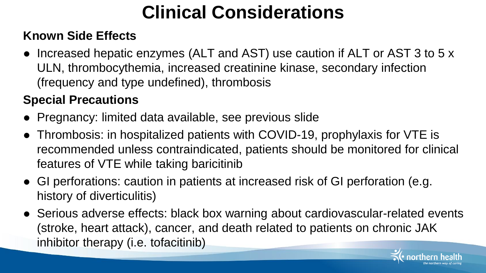# **Clinical Considerations**

#### **Known Side Effects**

• Increased hepatic enzymes (ALT and AST) use caution if ALT or AST 3 to 5 x ULN, thrombocythemia, increased creatinine kinase, secondary infection (frequency and type undefined), thrombosis

#### **Special Precautions**

- Pregnancy: limited data available, see previous slide
- Thrombosis: in hospitalized patients with COVID-19, prophylaxis for VTE is recommended unless contraindicated, patients should be monitored for clinical features of VTE while taking baricitinib
- GI perforations: caution in patients at increased risk of GI perforation (e.g. history of diverticulitis)
- Serious adverse effects: black box warning about cardiovascular-related events (stroke, heart attack), cancer, and death related to patients on chronic JAK inhibitor therapy (i.e. tofacitinib)